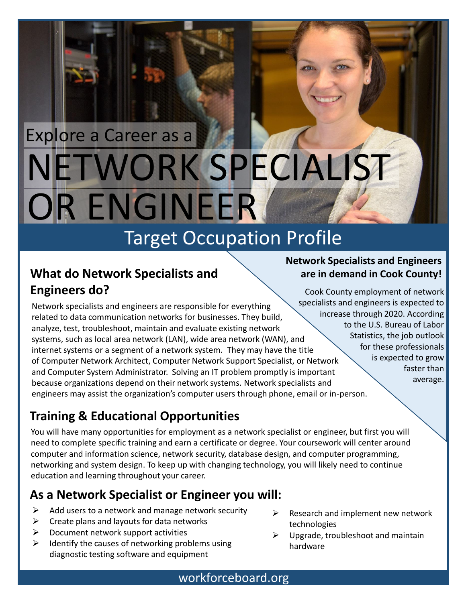# NETWORK SPECIALIST Explore a Career as a OR ENGINEER

## Target Occupation Profile

### **What do Network Specialists and Engineers do?**

Network specialists and engineers are responsible for everything related to data communication networks for businesses. They build, analyze, test, troubleshoot, maintain and evaluate existing network systems, such as local area network (LAN), wide area network (WAN), and internet systems or a segment of a network system. They may have the title of Computer Network Architect, Computer Network Support Specialist, or Network and Computer System Administrator. Solving an IT problem promptly is important because organizations depend on their network systems. Network specialists and engineers may assist the organization's computer users through phone, email or in-person.

### **Training & Educational Opportunities**

You will have many opportunities for employment as a network specialist or engineer, but first you will need to complete specific training and earn a certificate or degree. Your coursework will center around computer and information science, network security, database design, and computer programming, networking and system design. To keep up with changing technology, you will likely need to continue education and learning throughout your career.

### **As a Network Specialist or Engineer you will:**

- $\triangleright$  Add users to a network and manage network security
- $\triangleright$  Create plans and layouts for data networks
- $\triangleright$  Document network support activities
- Identify the causes of networking problems using diagnostic testing software and equipment
- $\triangleright$  Research and implement new network technologies
- $\triangleright$  Upgrade, troubleshoot and maintain hardware

#### **Network Specialists and Engineers are in demand in Cook County!**

Cook County employment of network specialists and engineers is expected to increase through 2020. According to the U.S. Bureau of Labor Statistics, the job outlook for these professionals is expected to grow faster than average.